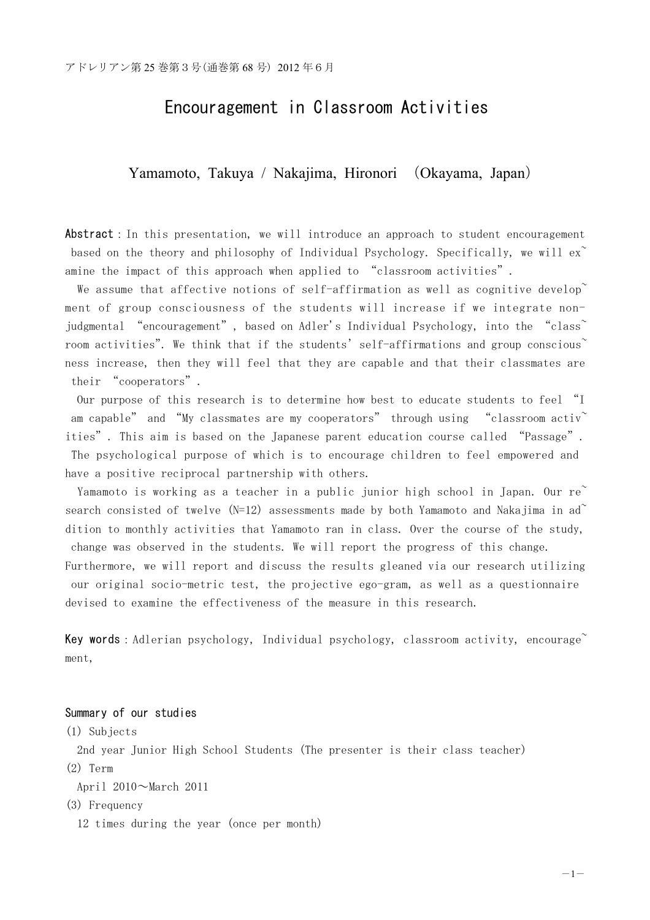# Encouragement in Classroom Activities

Yamamoto, Takuya / Nakajima, Hironori (Okayama, Japan)

Abstract: In this presentation, we will introduce an approach to student encouragement based on the theory and philosophy of Individual Psychology. Specifically, we will  $ex^{\sim}$ amine the impact of this approach when applied to "classroom activities".

We assume that affective notions of self-affirmation as well as cognitive develop ment of group consciousness of the students will increase if we integrate nonjudgmental "encouragement", based on Adler's Individual Psychology, into the "class<sup>"</sup> room activities". We think that if the students' self-affirmations and group conscious ness increase, then they will feel that they are capable and that their classmates are their "cooperators".

Our purpose of this research is to determine how best to educate students to feel "I am capable" and "My classmates are my cooperators" through using "classroom activ" ities". This aim is based on the Japanese parent education course called "Passage". The psychological purpose of which is to encourage children to feel empowered and have a positive reciprocal partnership with others.

Yamamoto is working as a teacher in a public junior high school in Japan. Our re<sup>~</sup> search consisted of twelve (N=12) assessments made by both Yamamoto and Nakajima in ad~ dition to monthly activities that Yamamoto ran in class. Over the course of the study, change was observed in the students. We will report the progress of this change.

Furthermore, we will report and discuss the results gleaned via our research utilizing our original socio-metric test, the projective ego-gram, as well as a questionnaire devised to examine the effectiveness of the measure in this research.

**Key words**: Adlerian psychology, Individual psychology, classroom activity, encourage~ ment,

# Summary of our studies

(1) Subjects

2nd year Junior High School Students (The presenter is their class teacher) (2) Term

April 2010~March 2011

(3) Frequency

12 times during the year (once per month)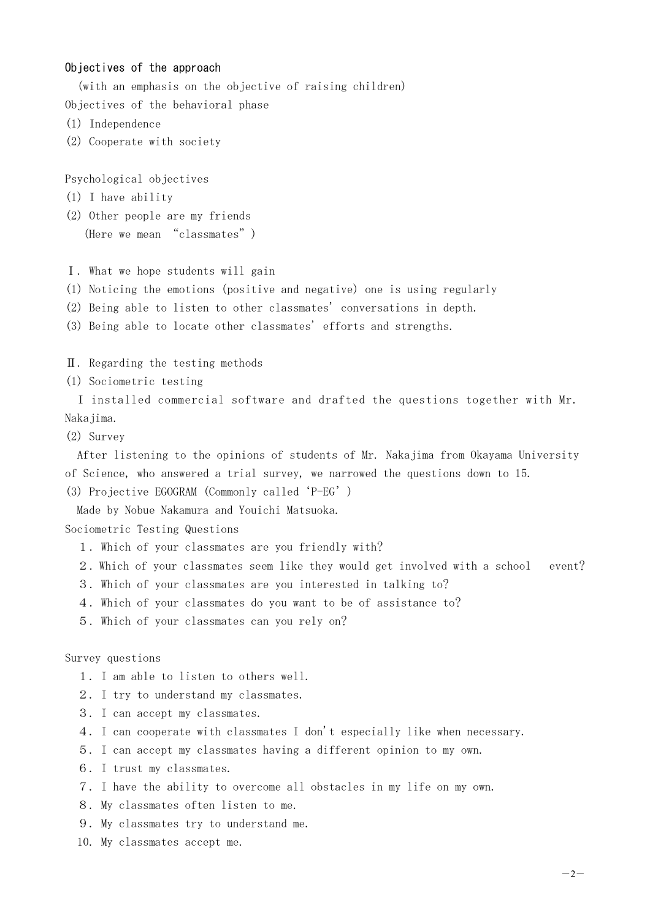## Objectives of the approach

(with an emphasis on the objective of raising children) Objectives of the behavioral phase

- (1) Independence
- (2) Cooperate with society

Psychological objectives

- (1) I have ability
- (2) Other people are my friends (Here we mean "classmates")
- Ⅰ. What we hope students will gain
- (1) Noticing the emotions (positive and negative) one is using regularly
- (2) Being able to listen to other classmates' conversations in depth.

(3) Being able to locate other classmates' efforts and strengths.

Ⅱ. Regarding the testing methods

(1) Sociometric testing

I installed commercial software and drafted the questions together with Mr. Nakajima.

(2) Survey

After listening to the opinions of students of Mr. Nakajima from Okayama University of Science, who answered a trial survey, we narrowed the questions down to 15.

(3) Projective EGOGRAM (Commonly called'P-EG')

Made by Nobue Nakamura and Youichi Matsuoka.

Sociometric Testing Questions

- 1.Which of your classmates are you friendly with?
- 2.Which of your classmates seem like they would get involved with a school event?
- 3.Which of your classmates are you interested in talking to?
- 4.Which of your classmates do you want to be of assistance to?
- 5.Which of your classmates can you rely on?

#### Survey questions

- 1. I am able to listen to others well.
- 2. I try to understand my classmates.
- 3. I can accept my classmates.
- 4. I can cooperate with classmates I don't especially like when necessary.
- 5. I can accept my classmates having a different opinion to my own.
- 6. I trust my classmates.
- 7. I have the ability to overcome all obstacles in my life on my own.
- 8. My classmates often listen to me.
- 9. My classmates try to understand me.
- 10. My classmates accept me.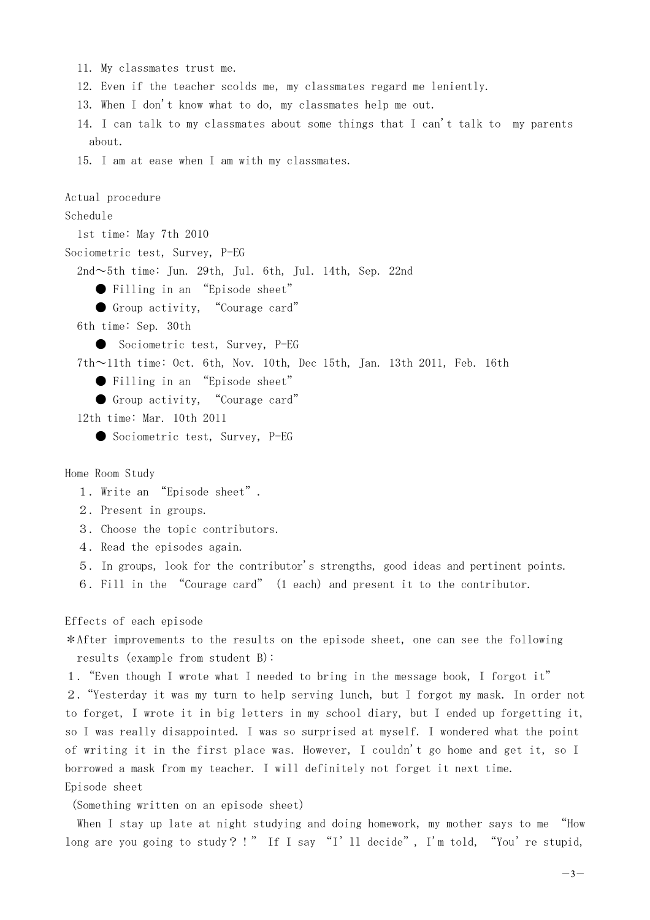- 11. My classmates trust me.
- 12. Even if the teacher scolds me, my classmates regard me leniently.
- 13. When I don't know what to do, my classmates help me out.
- 14. I can talk to my classmates about some things that I can't talk to my parents about.
- 15. I am at ease when I am with my classmates.

```
Actual procedure
Schedule
  1st time: May 7th 2010
Sociometric test, Survey, P-EG
 2nd \sim 5th time: Jun. 29th, Jul. 6th, Jul. 14th, Sep. 22nd
     ● Filling in an "Episode sheet"
     ● Group activity, "Courage card"
 6th time: Sep. 30th
     ● Sociometric test, Survey, P-EG
 7th~11th time: Oct. 6th, Nov. 10th, Dec 15th, Jan. 13th 2011, Feb. 16th
     ● Filling in an "Episode sheet"
     ● Group activity, "Courage card"
 12th time: Mar. 10th 2011
     ● Sociometric test, Survey, P-EG
```
Home Room Study

- 1. Write an "Episode sheet".
- 2. Present in groups.
- 3. Choose the topic contributors.
- 4. Read the episodes again.
- 5. In groups, look for the contributor's strengths, good ideas and pertinent points.
- 6. Fill in the "Courage card" (1 each) and present it to the contributor.

## Effects of each episode

\*After improvements to the results on the episode sheet, one can see the following results (example from student B):

1."Even though I wrote what I needed to bring in the message book, I forgot it"

2."Yesterday it was my turn to help serving lunch, but I forgot my mask. In order not to forget, I wrote it in big letters in my school diary, but I ended up forgetting it, so I was really disappointed. I was so surprised at myself. I wondered what the point of writing it in the first place was. However, I couldn't go home and get it, so I borrowed a mask from my teacher. I will definitely not forget it next time. Episode sheet

(Something written on an episode sheet)

When I stay up late at night studying and doing homework, my mother says to me "How long are you going to study? !" If I say "I'll decide", I'm told, "You're stupid,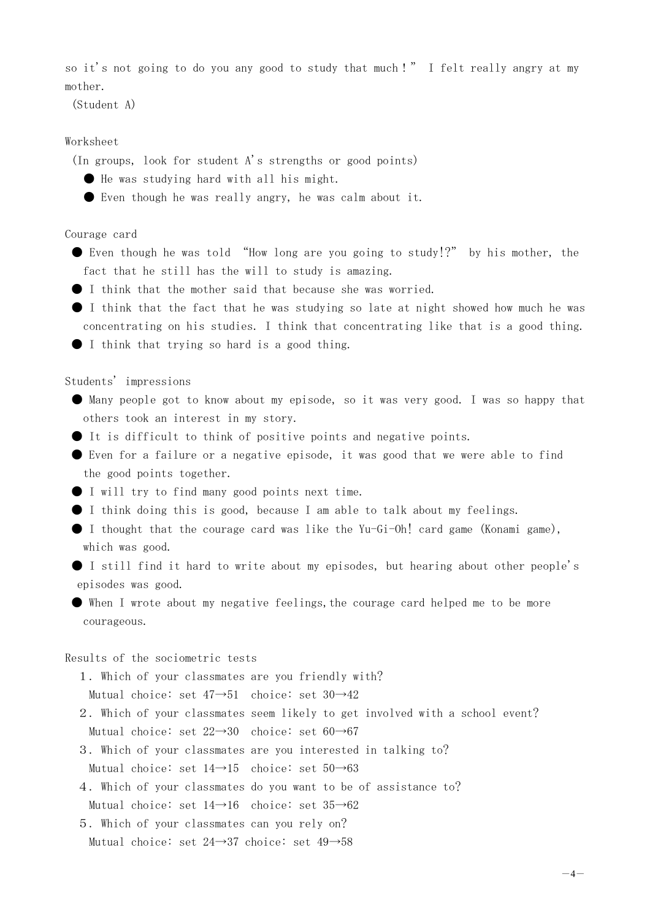so it's not going to do you any good to study that much!" I felt really angry at my mother.

(Student A)

# Worksheet

(In groups, look for student A's strengths or good points)

- He was studying hard with all his might.
- Even though he was really angry, he was calm about it.

Courage card

- Even though he was told "How long are you going to study!?" by his mother, the fact that he still has the will to study is amazing.
- I think that the mother said that because she was worried.
- I think that the fact that he was studying so late at night showed how much he was concentrating on his studies. I think that concentrating like that is a good thing.
- I think that trying so hard is a good thing.

Students' impressions

- Many people got to know about my episode, so it was very good. I was so happy that others took an interest in my story.
- It is difficult to think of positive points and negative points.
- Even for a failure or a negative episode, it was good that we were able to find the good points together.
- I will try to find many good points next time.
- I think doing this is good, because I am able to talk about my feelings.
- I thought that the courage card was like the Yu-Gi-Oh! card game (Konami game), which was good.
- I still find it hard to write about my episodes, but hearing about other people's episodes was good.
- When I wrote about my negative feelings,the courage card helped me to be more courageous.

Results of the sociometric tests

1. Which of your classmates are you friendly with?

Mutual choice: set 47→51 choice: set 30→42

- 2. Which of your classmates seem likely to get involved with a school event? Mutual choice: set 22→30 choice: set 60→67
- 3. Which of your classmates are you interested in talking to?

Mutual choice: set  $14\rightarrow 15$  choice: set  $50\rightarrow 63$ 

4. Which of your classmates do you want to be of assistance to?

Mutual choice: set 14→16 choice: set 35→62

5. Which of your classmates can you rely on? Mutual choice: set 24→37 choice: set 49→58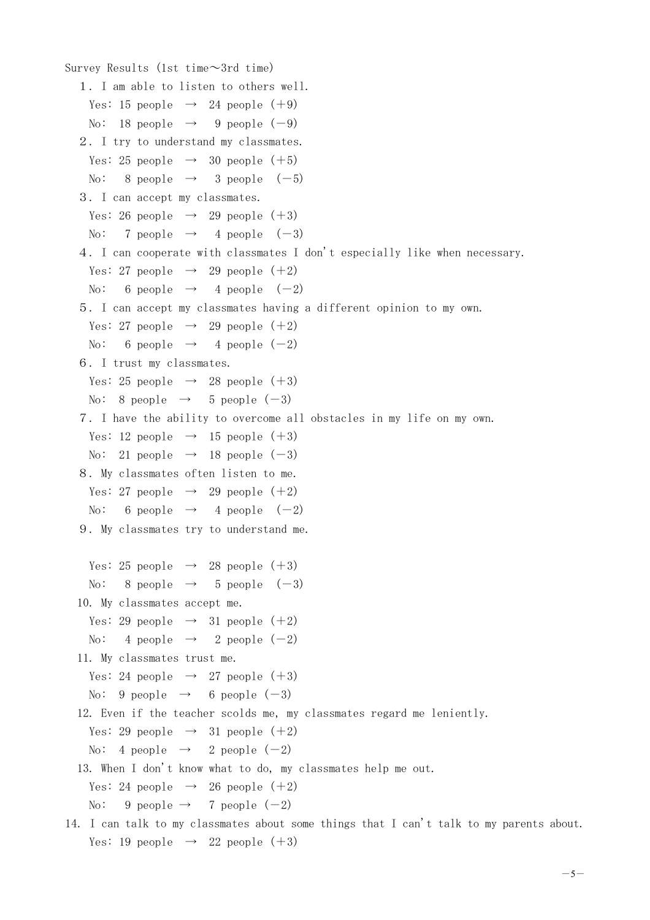```
Survey Results (1st time\sim3rd time)
  1. I am able to listen to others well.
    Yes: 15 people \rightarrow 24 people (+9)
   No: 18 people \rightarrow 9 people (-9)2. I try to understand my classmates.
   Yes: 25 people \rightarrow 30 people (+5)
   No: 8 people \rightarrow 3 people (-5)3. I can accept my classmates.
    Yes: 26 people \rightarrow 29 people (+3)
    No: 7 people \rightarrow 4 people (-3)4. I can cooperate with classmates I don't especially like when necessary.
   Yes: 27 people \rightarrow 29 people (+2)No: 6 people \rightarrow 4 people (-2)5. I can accept my classmates having a different opinion to my own.
    Yes: 27 people \rightarrow 29 people (+2)No: 6 people \rightarrow 4 people (-2)6. I trust my classmates.
   Yes: 25 people \rightarrow 28 people (+3)
   No: 8 people \rightarrow 5 people (-3)7. I have the ability to overcome all obstacles in my life on my own.
    Yes: 12 people \rightarrow 15 people (+3)
    No: 21 people \rightarrow 18 people (-3)8. My classmates often listen to me.
   Yes: 27 people \rightarrow 29 people (+2)No: 6 people \rightarrow 4 people (-2)9. My classmates try to understand me.
   Yes: 25 people \rightarrow 28 people (+3)
    No: 8 people \rightarrow 5 people (-3)10. My classmates accept me.
    Yes: 29 people \rightarrow 31 people (+2)No: 4 people \rightarrow 2 people (-2)11. My classmates trust me.
   Yes: 24 people \rightarrow 27 people (+3)
    No: 9 people \rightarrow 6 people (-3)12. Even if the teacher scolds me, my classmates regard me leniently.
    Yes: 29 people \rightarrow 31 people (+2)No: 4 people \rightarrow 2 people (-2)13. When I don't know what to do, my classmates help me out.
    Yes: 24 people \rightarrow 26 people (+2)No: 9 people \rightarrow 7 people (-2)14. I can talk to my classmates about some things that I can't talk to my parents about.
```

```
Yes: 19 people \rightarrow 22 people (+3)
```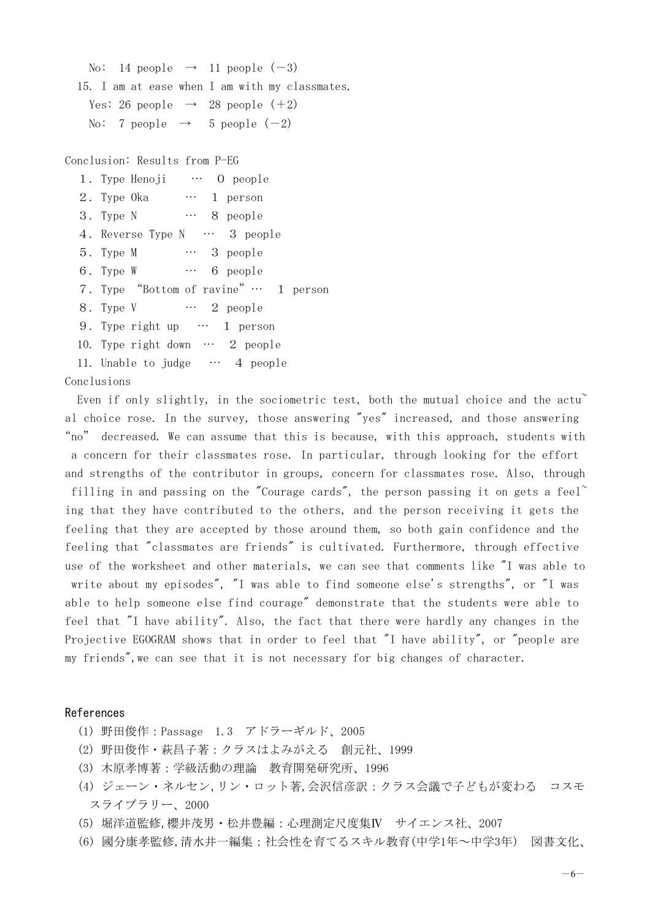```
No: 14 people \rightarrow 11 people (-3)15. I am at ease when I am with my classmates.
  Yes: 26 people \rightarrow 28 people (+2)
  No: 7 people \rightarrow 5 people (-2)
```
Conclusion: Results from P-EG

| 1. Type Henoji … O people             |
|---------------------------------------|
| $\cdots$ 1 person<br>2. Type Oka      |
| 3. Type N  8 people                   |
| 4. Reverse Type N  3 people           |
| $\cdots$ 3 people<br>5. Type M        |
| 6. Type W  6 people                   |
| 7. Type "Bottom of ravine" … 1 person |
| 8. Type V ··· 2 people                |
| 9. Type right up $\cdots$ 1 person    |
| 10. Type right down $\cdots$ 2 people |
| 11. Unable to judge  4 people         |

Conclusions

Even if only slightly, in the sociometric test, both the mutual choice and the actu<sup>~</sup> al choice rose. In the survey, those answering "yes" increased, and those answering "no" decreased. We can assume that this is because, with this approach, students with a concern for their classmates rose. In particular, through looking for the effort and strengths of the contributor in groups, concern for classmates rose. Also, through filling in and passing on the "Courage cards", the person passing it on gets a feel ing that they have contributed to the others, and the person receiving it gets the feeling that they are accepted by those around them, so both gain confidence and the feeling that "classmates are friends" is cultivated. Furthermore, through effective use of the worksheet and other materials, we can see that comments like "I was able to write about my episodes", "I was able to find someone else's strengths", or "I was able to help someone else find courage" demonstrate that the students were able to feel that "I have ability". Also, the fact that there were hardly any changes in the Projective EGOGRAM shows that in order to feel that "I have ability", or "people are my friends",we can see that it is not necessary for big changes of character.

#### References

- (1) 野田俊作:Passage 1.3 アドラーギルド、2005
- (2) 野田俊作・萩昌子著:クラスはよみがえる 創元社、1999
- (3) 木原孝博著:学級活動の理論 教育開発研究所、1996
- (4) ジェーン・ネルセン,リン・ロット著,会沢信彦訳:クラス会議で子どもが変わる コスモ スライブラリー、2000
- (5) 堀洋道監修,櫻井茂男・松井豊編:心理測定尺度集Ⅳ サイエンス社、2007
- (6) 國分康孝監修,清水井一編集:社会性を育てるスキル教育(中学1年~中学3年) 図書文化、